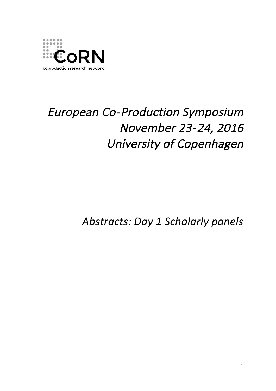

# European Co-Production Symposium November 23-24, 2016 University of Copenhagen

*Abstracts: Day 1 Scholarly panels*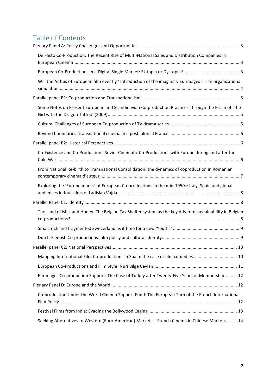# Table of Contents

| De Facto Co-Production: The Recent Rise of Multi-National Sales and Distribution Companies in             |  |
|-----------------------------------------------------------------------------------------------------------|--|
|                                                                                                           |  |
| Will the Airbus of European film ever fly? Introduction of the imaginary Eurimages II - an organizational |  |
|                                                                                                           |  |
| Some Notes on Present European and Scandinavian Co-production Practices Through the Prism of 'The         |  |
|                                                                                                           |  |
|                                                                                                           |  |
|                                                                                                           |  |
| Co-Existence and Co-Production: Soviet Cinematic Co-Productions with Europe during and after the          |  |
| From National Re-birth to Transnational Consolidation: the dynamics of coproduction in Romanian           |  |
| Exploring the 'Europeanness' of European Co-productions in the mid-1950s: Italy, Spain and global         |  |
|                                                                                                           |  |
| The Land of Milk and Honey: The Belgian Tax Shelter system as the key driver of sustainability in Belgian |  |
|                                                                                                           |  |
|                                                                                                           |  |
|                                                                                                           |  |
| Mapping International Film Co-productions in Spain: the case of film comedies  10                         |  |
|                                                                                                           |  |
| Eurimages Co-production Support: The Case of Turkey after Twenty-Five Years of Membership 12              |  |
|                                                                                                           |  |
| Co-production Under the World Cinema Support Fund: The European Turn of the French International          |  |
|                                                                                                           |  |
| Seeking Alternatives to Western (Euro-American) Markets - French Cinema in Chinese Markets 14             |  |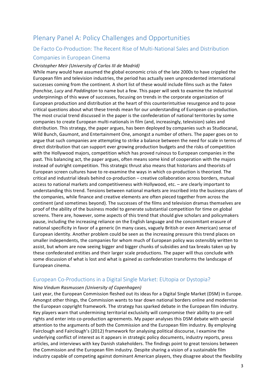## Plenary Panel A: Policy Challenges and Opportunities

### De Facto Co-Production: The Recent Rise of Multi-National Sales and Distribution Companies in European Cinema

#### *Christopher Meir (University of Carlos III de Madrid)*

While many would have assumed the global economic crisis of the late 2000s to have crippled the European film and television industries, the period has actually seen unprecedented international successes coming from the continent. A short list of these would include films such as the *Taken franchise, Lucy* and *Paddington* to name but a few. This paper will seek to examine the industrial underpinnings of this wave of successes, focusing on trends in the corporate organization of European production and distribution at the heart of this counterintuitive resurgence and to pose critical questions about what these trends mean for our understanding of European co-production. The most crucial trend discussed in the paper is the confederation of national territories by some companies to create European multi-nationals in film (and, increasingly, television) sales and distribution. This strategy, the paper argues, has been deployed by companies such as Studiocanal, Wild Bunch, Gaumont, and Entertainment One, amongst a number of others. The paper goes on to argue that such companies are attempting to strike a balance between the need for scale in terms of direct distribution that can support ever growing production budgets and the risks of competition with the Hollywood majors, competition which has proved ruinous to European companies in the past. This balancing act, the paper argues, often means some kind of cooperation with the majors instead of outright competition. This strategic thrust also means that historians and theorists of European screen cultures have to re-examine the ways in which co-production is theorized. The critical and industrial ideals behind co-production - creative collaboration across borders, mutual access to national markets and competitiveness with Hollywood, etc. - are clearly important to understanding this trend. Tensions between national markets are inscribed into the business plans of the companies, while finance and creative elements are often pieced together from across the continent (and sometimes beyond). The successes of the films and television dramas themselves are proof of the ability of the business model to generate substantial competition for time on global screens. There are, however, some aspects of this trend that should give scholars and policymakers pause, including the increasing reliance on the English language and the concomitant erasure of national specificity in favor of a generic (in many cases, vaguely British or even American) sense of European identity. Another problem could be seen as the increasing pressure this trend places on smaller independents, the companies for whom much of European policy was ostensibly written to assist, but whom are now seeing bigger and bigger chunks of subsidies and tax breaks taken up by these confederated entities and their larger scale productions. The paper will thus conclude with some discussion of what is lost and what is gained as confederation transforms the landscape of European cinema.

### European Co-Productions in a Digital Single Market: EUtopia or Dystopia?

#### *Nina Vindum Rasmussen (University of Copenhagen)*

Last year, the European Commission fleshed out its ideas for a Digital Single Market (DSM) in Europe. Amongst other things, the Commission wants to tear down national borders online and modernise the European copyright framework. The strategy has sparked debate in the European film industry. Key players warn that undermining territorial exclusivity will compromise their ability to pre-sell rights and enter into co-production agreements. My paper analyses this DSM debate with special attention to the arguments of both the Commission and the European film industry. By employing Fairclough and Fairclough's (2012) framework for analysing political discourse, I examine the underlying conflict of interest as it appears in strategic policy documents, industry reports, press articles, and interviews with key Danish stakeholders. The findings point to great tensions between the Commission and the European film industry. Despite sharing a vision of a sustainable film industry capable of competing against dominant American players, they disagree about the flexibility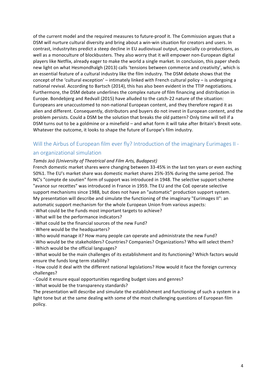of the current model and the required measures to future-proof it. The Commission argues that a DSM will nurture cultural diversity and bring about a win-win situation for creators and users. In contrast, industryites predict a steep decline in EU audiovisual output, especially co-productions, as well as a monoculture of blockbusters. They also worry that it will empower non-European digital players like Netflix, already eager to make the world a single market. In conclusion, this paper sheds new light on what Hesmondhalgh (2013) calls 'tensions between commerce and creativity', which is an essential feature of a cultural industry like the film industry. The DSM debate shows that the concept of the 'cultural exception' – intimately linked with French cultural policy – is undergoing a national revival. According to Bartsch (2014), this has also been evident in the TTIP negotiations. Furthermore, the DSM debate underlines the complex nature of film financing and distribution in Europe. Bondebjerg and Redvall (2015) have alluded to the catch-22 nature of the situation: Europeans are unaccustomed to non-national European content, and they therefore regard it as alien and different. Consequently, distributors and buyers do not invest in European content, and the problem persists. Could a DSM be the solution that breaks the old pattern? Only time will tell if a DSM turns out to be a goldmine or a minefield – and what form it will take after Britain's Brexit vote. Whatever the outcome, it looks to shape the future of Europe's film industry.

### Will the Airbus of European film ever fly? Introduction of the imaginary Eurimages II an organizational simulation

### *Tamás Joó (University of Theatrical and Film Arts, Budapest)*

French domestic market shares were changing between 33-45% in the last ten years or even eaching 50%1. The EU's market share was domestic market shares 25%-35% during the same period. The NC's "compte de soutien" form of support was introduced in 1948. The selective support scheme "avance sur recettes" was introduced in France in 1959. The EU and the CoE operate selective support mechanisms since 1988, but does not have an "automatic" production support system. My presentation will describe and simulate the functioning of the imaginary "Eurimages II": an automatic support mechanism for the whole European Union from various aspects:

- What could be the Funds most important targets to achieve?
- What will be the performance indicators?
- What could be the financial sources of the new Fund?
- Where would be the headquarters?
- Who would manage it? How many people can operate and administrate the new Fund?
- Who would be the stakeholders? Countries? Companies? Organizations? Who will select them?
- Which would be the official languages?

- What would be the main challenges of its establishment and its functioning? Which factors would ensure the funds long term stability?

- How could it deal with the different national legislations? How would it face the foreign currency challenges?

- Could it ensure equal opportunities regarding budget sizes and genres?
- What would be the transparency standards?

The presentation will describe and simulate the establishment and functioning of such a system in a light tone but at the same dealing with some of the most challenging questions of European film policy.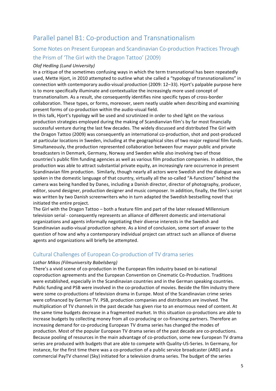# Parallel panel B1: Co-production and Transnationalism

### Some Notes on Present European and Scandinavian Co-production Practices Through the Prism of 'The Girl with the Dragon Tattoo' (2009)

### *Olof Hedling (Lund University)*

In a critique of the sometimes confusing ways in which the term transnational has been repeatedly used, Mette Hjort, in 2010 attempted to outline what she called a "typology of transnationalisms" in connection with contemporary audio-visual production (2009: 12–33). Hiort's palpable purpose here is to more specifically illuminate and contextualize the increasingly more used concept of transnationalism. As a result, she consequently identifies nine specific types of cross-border collaboration. These types, or forms, moreover, seem neatly usable when describing and examining present forms of co-production within the audio-visual field.

In this talk, Hjort's typology will be used and scrutinized in order to shed light on the various production strategies employed during the making of Scandianvian film's by far most financially successful venture during the last few decades. The widely discussed and distributed The Girl with the Dragon Tattoo (2009) was consequently an international co-production, shot and post-produced at particular locations in Sweden, including at the geographical sites of two major regional film funds. Simultaneously, the production represented collaboration between four mayor public and private broadcasters in Denmark, Germany, Norway and Sweden while also involving two of those countries's public film funding agencies as well as various film production companies. In addition, the production was able to attract substantial private equity, an increasingly rare occurrence in present Scandinavian film production. Similarly, though nearly all actors were Swedish and the dialogue was spoken in the domestic language of that country, virtually all the so-called "A-functions" behind the camera was being handled by Danes, including a Danish director, director of photography, producer, editor, sound designer, production designer and music composer. In addition, finally, the film's script was written by two Danish screenwriters who in turn adapted the Swedish bestselling novel that initiated the entire project.

The Girl with the Dragon Tattoo – both a feature film and part of the later released Millennium television serial - consequently represents an alliance of different domestic and international organizations and agents informally negotiating their diverse interests in the Swedish and Scandinavian audio-visual production sphere. As a kind of conclusion, some sort of answer to the question of how and why a contemporary individual project can attract such an alliance of diverse agents and organizations will briefly be attempted.

### Cultural Challenges of European Co-production of TV drama series

#### Lothar Mikos (Filmuniversity Babelsberg)

There's a vivid scene of co-production in the European film industry based on bi-national coproduction agreements and the European Convention on Cinematic Co-Production. Traditions were established, especially in the Scandinavian countries and in the German speaking countries. Public funding and PSB were involved in the co-production of movies. Beside the film industry there were some co-productions of television drama in Europe. Most of the Scandinavian crime series were cofinanced by German TV. PSB, production companies and distributors are involved. The multiplication of TV channels in the past decade has given rise to an enormous need of content. At the same time budgets decrease in a fragmented market. In this situation co-productions are able to increase budgets by collecting money from all co-producing or co-financing partners. Therefore an increasing demand for co-producing European TV drama series has changed the modes of production. Most of the popular European TV drama series of the past decade are co-productions. Because pooling of resources in the main advantage of co-production, some new European TV drama series are produced with budgets that are able to compete with Quality-US-Series. In Germany, for instance, for the first time there was a co-production of a public service broadcaster (ARD) and a commercial PayTV channel (Sky) initiated for a television drama series. The budget of the series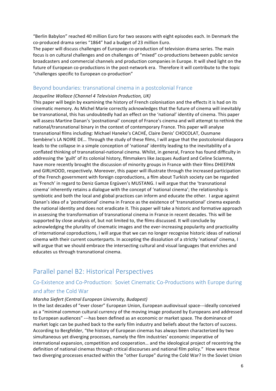"Berlin Babylon" reached 40 million Euro for two seasons with eight episodes each. In Denmark the co-produced drama series "1864" had a budget of 23 million Euro.

The paper will discuss challenges of European co-production of television drama series. The main focus is on cultural challenges and on challenges of "mixed" co-productions between public service broadcasters and commercial channels and production companies in Europe. It will shed light on the future of European co-productions in the post-network era. Therefore it will contribute to the topic "challenges specific to European co-production"

### Beyond boundaries: transnational cinema in a postcolonial France

#### *Jacqueline Wallace (Channel 4 Television Production, UK)*

This paper will begin by examining the history of French colonisation and the effects it is had on its cinematic memory. As Michel Marie correctly acknowledges that the future of cinema will inevitably be transnational, this has undoubtedly had an effect on the 'national' identity of cinema. This paper will assess Martine Danan's 'postnational' concept of France's cinema and will attempt to rethink the national/transnational binary in the context of contemporary France. This paper will analyse transnational films including: Michael Haneke's CACHÉ, Claire Denis' CHOCOLAT, Ousmane Sembène's LA NOIRE DE... Through the study of these films, I will argue that the postcolonial diaspora leads to the collapse in a simple conception of 'national' identity leading to the inevitability of a conflated thinking of transnational-national cinema. Whilst, in general, France has found difficulty in addressing the 'guilt' of its colonial history, filmmakers like Jacques Audiard and Celine Sciamma, have more recently brought the discussion of minority groups in France with their films DHEEPAN and GIRLHOOD, respectively. Moreover, this paper will illustrate through the increased participation of the French government with foreign coproductions, a film about Turkish society can be regarded as 'French' in regard to Deniz Gamze Ergüven's MUSTANG. I will argue that the 'transnational cinema' inherently retains a dialogue with the concept of 'national cinema'; the relationship is symbiotic and both the local and global practices can inform and educate the other. I argue against Danan's idea of a 'postnational' cinema in France as the existence of 'transnational' cinema expands the national identity and does not eradicate it. This paper will take a historic and formative approach in assessing the transformation of transnational cinema in France in recent decades. This will be supported by close analysis of, but not limited to, the films discussed. It will conclude by acknowledging the plurality of cinematic images and the ever-increasing popularity and practicality of international coproductions, I will argue that we can no longer recognise historic ideas of national cinema with their current counterparts. In accepting the dissolution of a strictly 'national' cinema, I will argue that we should embrace the intersecting cultural and visual languages that enriches and educates us through transnational cinema.

### Parallel panel B2: Historical Perspectives

### Co-Existence and Co-Production: Soviet Cinematic Co-Productions with Europe during and after the Cold War

#### *Marsha Siefert (Central European University, Budapest)*

In the last decades of "ever closer" European Union, European audiovisual space---ideally conceived as a "minimal common cultural currency of the moving image produced by Europeans and addressed to European audiences" ---has been defined as an economic or market space. The dominance of market logic can be pushed back to the early film industry and beliefs about the factors of success. According to Bergfelder, "the history of European cinemas has always been characterized by two simultaneous yet diverging processes, namely the film industries' economic imperative of international expansion, competition and cooperation... and the ideological project of recentring the definition of national cinemas through critical discourses and national film policy." How were these two diverging processes enacted within the "other Europe" during the Cold War? In the Soviet Union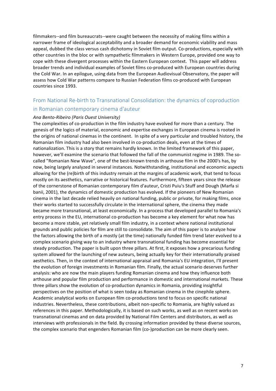filmmakers--and film bureaucrats--were caught between the necessity of making films within a narrower frame of ideological acceptability and a broader demand for economic viability and mass appeal, dubbed the class versus cash dichotomy in Soviet film output. Co-productions, especially with other countries in the bloc or with sympathetic filmmakers in Western Europe, provided one way to cope with these divergent processes within the Eastern European context. This paper will address broader trends and individual examples of Soviet films co-produced with European countries during the Cold War. In an epilogue, using data from the European Audiovisual Observatory, the paper will assess how Cold War patterns compare to Russian Federation films co-produced with European countries since 1993.

### From National Re-birth to Transnational Consolidation: the dynamics of coproduction

### in Romanian contemporary cinema d'auteur

#### *Ana Bento-Ribeiro (Paris Ouest University)*

The complexities of co-production in the film industry have evolved for more than a century. The genesis of the logics of material, economic and expertise exchanges in European cinema is rooted in the origins of national cinemas in the continent. In spite of a very particular and troubled history, the Romanian film industry had also been involved in co-production deals, even at the times of nationalization. This is a story that remains hardly known. In the limited framework of this paper, however, we'll examine the scenario that followed the fall of the communist regime in 1989. The socalled "Romanian New Wave", one of the best-known trends in arthouse film in the 2000's has, by now, being largely analyzed in several instances. Notwithstanding, institutional and economic aspects allowing for the (re)birth of this industry remain at the margins of academic work, that tend to focus mostly on its aesthetics, narrative or historical features. Furthermore, fifteen years since the release of the cornerstone of Romanian contemporary film d'auteur, Cristi Puiu's Stuff and Dough (Marfa si banii, 2001), the dynamics of domestic production has evolved. If the pioneers of New Romanian cinema in the last decade relied heavily on national funding, public or private, for making films, once their works started to successfully circulate in the international sphere, the cinema they made became more transnational, at least economically. In a process that developed parallel to Romania's entry process in the EU, international co-production has become a key element for what now has become a more stable, yet relatively small film industry, in a context where national institutional grounds and public policies for film are still to consolidate. The aim of this paper is to analyze how the factors allowing the birth of a mostly (at the time) nationally funded film trend later evolved to a complex scenario giving way to an industry where transnational funding has become essential for steady production. The paper is built upon three pillars. At first, it exposes how a precarious funding system allowed for the launching of new auteurs, being actually key for their internationally praised aesthetics. Then, in the context of international appraisal and Romania's EU integration, I'll present the evolution of foreign investments in Romanian film. Finally, the actual scenario deserves further analysis: who are now the main players funding Romanian cinema and how they influence both arthouse and popular film production and performance in domestic and international markets. These three pillars show the evolution of co-production dynamics in Romania, providing insightful perspectives on the position of what is seen today as Romanian cinema in the cinephile sphere. Academic analytical works on European film co-productions tend to focus on specific national industries. Nevertheless, these contributions, albeit non-specific to Romania, are highly valued as references in this paper. Methodologically, it is based on such works, as well as on recent works on transnational cinemas and on data provided by National Film Centers and distributors, as well as interviews with professionals in the field. By crossing information provided by these diverse sources, the complex scenario that engenders Romanian film (co-)production can be more clearly seen.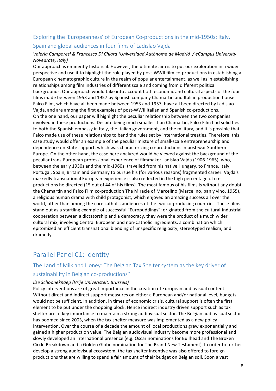### Exploring the 'Europeanness' of European Co-productions in the mid-1950s: Italy, Spain and global audiences in four films of Ladislao Vajda

### Valeria Camporesi & Francesco Di Chiara (Universidad Autónoma de Madrid / eCampus University *Novedrate, Italy)*

Our approach is eminently historical. However, the ultimate aim is to put our exploration in a wider perspective and use it to highlight the role played by post-WWII film co-productions in establishing a European cinematographic culture in the realm of popular entertainment, as well as in establishing relationships among film industries of different scale and coming from different political backgrounds. Our approach would take into account both economic and cultural aspects of the four films made between 1953 and 1957 by Spanish company Chamartin and Italian production house Falco Film, which have all been made between 1953 and 1957, have all been directed by Ladislao Vaida, and are among the first examples of post-WWII Italian and Spanish co-productions. On the one hand, our paper will highlight the peculiar relationship between the two companies involved in these productions. Despite being much smaller than Chamartin, Falco Film had solid ties to both the Spanish embassy in Italy, the Italian government, and the military, and it is possible that Falco made use of these relationships to bend the rules set by international treaties. Therefore, this case study would offer an example of the peculiar mixture of small-scale entrepreneurship and dependence on State support, which was characterizing co-productions in post-war Southern Europe. On the other hand, the case here analyzed would be viewed against the background of the peculiar trans-European professional experience of filmmaker Ladislao Vajda (1906-1965), who, between the early 1930s and the mid-1960s, travelled from his native Hungary, to France, Italy, Portugal, Spain, Britain and Germany to pursue his (for various reasons) fragmented career. Vajda's markedly transnational European experience is also reflected in the high percentage of coproductions he directed (15 out of 44 of his films). The most famous of his films is without any doubt the Chamartin and Falco Film co-production The Miracle of Marcelino (Marcelino, pan y vino, 1955), a religious human drama with child protagonist, which enjoyed an amazing success all over the world, other than among the core catholic audiences of the two co-producing countries. These films stand out as a startling example of successful "Europuddings": originated from the cultural-industrial cooperation between a dictatorship and a democracy, they were the product of a much wider cultural mix, involving Central European and non-Catholic ingredients, a combination which epitomized an efficient transnational blending of unspecific religiosity, stereotyped realism, and dramedy.

# Parallel Panel C1: Identity

### The Land of Milk and Honey: The Belgian Tax Shelter system as the key driver of sustainability in Belgian co-productions?

#### *Ilse Schooneknaep (Vrije Univeristeit, Brussels)*

Policy interventions are of great importance in the creation of European audiovisual content. Without direct and indirect support measures on either a European and/or national level, budgets would not be sufficient. In addition, in times of economic crisis, cultural support is often the first element to be put under the chopping block. Hence indirect industry driven support such as tax shelter are of key importance to maintain a strong audiovisual sector. The Belgian audiovisual sector has boomed since 2003, when the tax shelter measure was implemented as a new policy intervention. Over the course of a decade the amount of local productions grew exponentially and gained a higher production value. The Belgian audiovisual industry become more professional and slowly developed an international presence (e.g. Oscar nominations for Bullhead and The Broken Circle Breakdown and a Golden Globe nomination for The Brand New Testament). In order to further develop a strong audiovisual ecosystem, the tax shelter incentive was also offered to foreign productions that are willing to spend a fair amount of their budget on Belgian soil. Soon a vast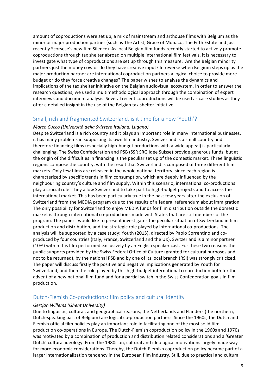amount of coproductions were set up, a mix of mainstream and arthouse films with Belgium as the minor or major production partner (such as The Artist, Grace of Monaco, The Fifth Estate and just recently Scorsese's new film Silence). As local Belgian film funds recently started to actively promote coproductions through tax shelter abroad on multiple international film festivals, it is necessary to investigate what type of coproductions are set up through this measure. Are the Belgian minority partners just the money cow or do they have creative input? In reverse when Belgium steps up as the major production partner are international coproduction partners a logical choice to provide more budget or do they force creative changes? The paper wishes to analyse the dynamics and implications of the tax shelter initiative on the Belgian audiovisual ecosystem. In order to answer the research questions, we used a multimethodological approach through the combination of expert interviews and document analysis. Several recent coproductions will be used as case studies as they offer a detailed insight in the use of the Belgian tax shelter initiative.

### Small, rich and fragmented Switzerland, is it time for a new 'Youth'?

### *Marco Cucco (Università della Svizzera italiana, Lugano)*

Despite Switzerland is a rich country and it plays an important role in many international businesses, it has many problems in supporting its own film industry. Switzerland is a small country and therefore financing films (especially high-budget productions with a wide appeal) is particularly challenging. The Swiss Confederation and PSB (SSR SRG Idée Suisse) provide generous funds, but at the origin of the difficulties in financing is the peculiar set up of the domestic market. Three linguistic regions compose the country, with the result that Switzerland is composed of three different film markets. Only few films are released in the whole national territory, since each region is characterized by specific trends in film consumption, which are deeply influenced by the neighbouring country's culture and film supply. Within this scenario, international co-productions play a crucial role. They allow Switzerland to take part to high-budget projects and to access the international market. This has been particularly true in the past few years after the exclusion of Switzerland from the MEDIA program due to the results of a federal referendum about immigration. The only possibility for Switzerland to enjoy MEDIA funds for film distribution outside the domestic market is through international co-productions made with States that are still members of the program. The paper I would like to present investigates the peculiar situation of Switzerland in film production and distribution, and the strategic role played by international co-productions. The analysis will be supported by a case study: Youth (2015), directed by Paolo Sorrentino and coproduced by four countries (Italy, France, Switzerland and the UK). Switzerland is a minor partner (10%) within this film performed exclusively by an English speaker cast. For these two reasons the public supports provided by the Swiss Federal Office of Culture (granted for cultural purposes and not to be returned), by the national PSB and by one of its local branch (RSI) was strongly criticized. The paper will discuss firstly the positive and negative implications generated by Youth for Switzerland, and then the role played by this high-budget international co-production both for the advent of a new national film fund and for a partial switch in the Swiss Confederation goals in film production.

### Dutch-Flemish Co-productions: film policy and cultural identity

#### *Gertjan Willems (Ghent University)*

Due to linguistic, cultural, and geographical reasons, the Netherlands and Flanders (the northern, Dutch-speaking part of Belgium) are logical co-production partners. Since the 1960s, the Dutch and Flemish official film policies play an important role in facilitating one of the most solid film production co-operations in Europe. The Dutch-Flemish coproduction policy in the 1960s and 1970s was motivated by a combination of production and distribution related considerations and a 'Greater Dutch' cultural ideology. From the 1980s on, cultural and ideological motivations largely made way for more economic considerations. Thereby, the Dutch-Flemish coproduction policy became part of a larger internationalization tendency in the European film industry. Still, due to practical and cultural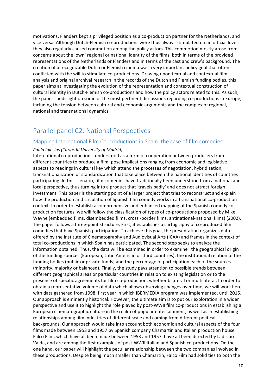motivations, Flanders kept a privileged position as a co-production partner for the Netherlands, and vice versa. Although Dutch-Flemish co-productions were thus always stimulated on an official level, they also regularly caused commotion among the policy actors. This commotion mostly arose from concerns about the 'own' regional or national identity of the films, both in terms of the provided representations of the Netherlands or Flanders and in terms of the cast and crew's background. The creation of a recognizable Dutch or Flemish cinema was a very important policy goal that often conflicted with the will to stimulate co-productions. Drawing upon textual and contextual film analysis and original archival research in the records of the Dutch and Flemish funding bodies, this paper aims at investigating the evolution of the representation and contextual construction of cultural identity in Dutch-Flemish co-productions and how the policy actors related to this. As such, the paper sheds light on some of the most pertinent discussions regarding co-productions in Europe, including the tension between cultural and economic arguments and the complex of regional, national and transnational dynamics.

### Parallel panel C2: National Perspectives

### Mapping International Film Co-productions in Spain: the case of film comedies

#### Paula Iglesias (Carlos III University of Madrid)

International co-productions, understood as a form of cooperation between producers from different countries to produce a film, pose implications ranging from economic and legislative aspects to readings in cultural key which attend the processes of negotiation, hybridization, transnationalization or standardization that take place between the national identities of countries participating. In this scenario, film comedies have traditionally been understood from a national and local perspective, thus turning into a product that 'travels badly' and does not attract foreign investment. This paper is the starting point of a larger project that tries to reconstruct and explain how the production and circulation of Spanish film comedy works in a transnational co-production context. In order to establish a comprehensive and enhanced mapping of the Spanish comedy coproduction features, we will follow the classification of types of co-productions proposed by Mike Wayne (embedded films, disembedded films, cross -border films, antinational-national films) (2002). The paper follows a three-point structure. First, it establishes a cartography of co-produced film comedies that have Spanish participation. To achieve this goal, the presentation organizes data offered by the Institute of Cinematography and Audiovisual Arts (ICAA) and frames in the context of total co-productions in which Spain has participated. The second step seeks to analyze the information obtained. Thus, the data will be examined in order to examine the geographical origin of the funding sources (European, Latin American or third countries), the institutional relation of the funding bodies (public or private funds) and the percentage of participation each of the sources (minority, majority or balanced). Finally, the study pays attention to possible trends between different geographical areas or particular countries in relation to existing legislation or to the presence of specific agreements for film co-production, whether bilateral or multilateral. In order to obtain a representative volume of data which allows observing changes over time, we will work here with data gathered from 1998, first year in which IBERMEDIA program was implemented, until 2015. Our approach is eminently historical. However, the ultimate aim is to put our exploration in a wider perspective and use it to highlight the role played by post-WWII film co-productions in establishing a European cinematographic culture in the realm of popular entertainment, as well as in establishing relationships among film industries of different scale and coming from different political backgrounds. Our approach would take into account both economic and cultural aspects of the four films made between 1953 and 1957 by Spanish company Chamartin and Italian production house Falco Film, which have all been made between 1953 and 1957, have all been directed by Ladislao Vajda, and are among the first examples of post-WWII Italian and Spanish co-productions. On the one hand, our paper will highlight the peculiar relationship between the two companies involved in these productions. Despite being much smaller than Chamartin, Falco Film had solid ties to both the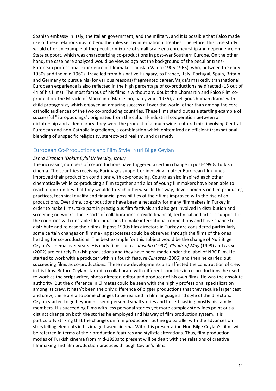Spanish embassy in Italy, the Italian government, and the military, and it is possible that Falco made use of these relationships to bend the rules set by international treaties. Therefore, this case study would offer an example of the peculiar mixture of small-scale entrepreneurship and dependence on State support, which was characterizing co-productions in post-war Southern Europe. On the other hand, the case here analyzed would be viewed against the background of the peculiar trans-European professional experience of filmmaker Ladislao Vajda (1906-1965), who, between the early 1930s and the mid-1960s, travelled from his native Hungary, to France, Italy, Portugal, Spain, Britain and Germany to pursue his (for various reasons) fragmented career. Vajda's markedly transnational European experience is also reflected in the high percentage of co-productions he directed (15 out of 44 of his films). The most famous of his films is without any doubt the Chamartin and Falco Film coproduction The Miracle of Marcelino (Marcelino, pan y vino, 1955), a religious human drama with child protagonist, which enjoyed an amazing success all over the world, other than among the core catholic audiences of the two co-producing countries. These films stand out as a startling example of successful "Europuddings": originated from the cultural-industrial cooperation between a dictatorship and a democracy, they were the product of a much wider cultural mix, involving Central European and non-Catholic ingredients, a combination which epitomized an efficient transnational blending of unspecific religiosity, stereotyped realism, and dramedy.

### European Co-Productions and Film Style: Nuri Bilge Ceylan

#### *Zehra Ziraman (Dokuz Eylul University, Izmir)*

The increasing numbers of co-productions have triggered a certain change in post-1990s Turkish cinema. The countries receiving Eurimages support or involving in other European film funds improved their production conditions with co-producing. Countries also inspired each other cinematically while co-producing a film together and a lot of young filmmakers have been able to reach opportunities that they wouldn't reach otherwise. In this way, developments on film producing practices, technical quality and financial possibilities of their films improved with the rise of coproductions. Over time, co-productions have been a necessity for many filmmakers in Turkey in order to make films, take part in prestigious film festivals and also get involved in distribution and screening networks. These sorts of collaborations provide financial, technical and artistic support for the countries with unstable film industries to make international connections and have chance to distribute and release their films. If post-1990s film directors in Turkey are considered particularly, some certain changes on filmmaking processes could be observed through the films of the ones heading for co-productions. The best example for this subject would be the change of Nuri Bilge Ceylan's cinema over years. His early films such as *Kasaba* (1997), *Clouds of May* (1999) and *Uzak* (2002) are entirely Turkish productions and they have been made under the label of NBC Film. He started to work with a producer with his fourth feature *Climates* (2006) and then he carried out succeeding films as co-productions. These new developments also affected the construction of crew in his films. Before Ceylan started to collaborate with different countries in co-productions, he used to work as the scriptwriter, photo director, editor and producer of his own films. He was the absolute authority. But the difference in Climates could be seen with the highly professional specialization among its crew. It hasn't been the only difference of bigger productions that they require larger cast and crew, there are also some changes to be realized in film language and style of the directors. Ceylan started to go beyond his semi-personal small stories and he left casting mostly his family members. His succeeding films with less personal stories yet more complex storylines point out a distinct change on both the stories he employed and his way of film production system. It is particularly striking that the changes on film production routine go parallel with the advances on storytelling elements in his image-based cinema. With this presentation Nuri Bilge Ceylan's films will be referred in terms of their production features and stylistic alterations. Thus, film production modes of Turkish cinema from mid-1990s to present will be dealt with the relations of creative filmmaking and film production practices through Ceylan's films.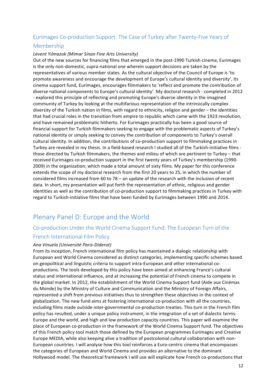### Eurimages Co-production Support: The Case of Turkey after Twenty-Five Years of Membership

### *Levent Yılmazok (Mimar Sinan Fine Arts University)*

Out of the new sources for financing films that emerged in the post-1990 Turkish cinema, Eurimages is the only non-domestic, supra-national one wherein support decisions are taken by the representatives of various member states. As the cultural objective of the Council of Europe is 'to promote awareness and encourage the development of Europe's cultural identity and diversity', its cinema support fund, Eurimages, encourages filmmakers to 'reflect and promote the contribution of diverse national components to Europe's cultural identity'. My doctoral research - completed in 2012 - explored this principle of reflecting and promoting Europe's diverse identity in the imagined community of Turkey by looking at the multifarious representation of the intrinsically complex diversity of the Turkish nation in films, with regard to ethnicity, religion and gender – the identities that had crucial roles in the transition from empire to republic which came with the 1923 revolution, and have remained problematic hitherto. For Eurimages practically has been a good source of financial support for Turkish filmmakers seeking to engage with the problematic aspects of Turkey's national identity or simply seeking to convey the contribution of components to Turkey's overall cultural identity. In addition, the contributions of co-production support to filmmaking practices in Turkey are revealed in my thesis. In a field-based research I studied all of the Turkish-initiative films those directed by Turkish filmmakers, the themes and milieu of which are pertinent to Turkey – that received Eurimages co-production support in the first twenty years of Turkey's membership (1990-2009) in the organization; which made a total amount of sixty films. My paper for this conference extends the scope of my doctoral research from the first 20 years to 25, in which the number of considered films increased from 60 to 78 – an update of the research with the inclusion of recent data. In short, my presentation will put forth the representation of ethnic, religious and gender identities as well as the contribution of co-production support to filmmaking practices in Turkey with regard to Turkish-initiative films that have been funded by Eurimages between 1990 and 2014.

# Plenary Panel D: Europe and the World

### Co-production Under the World Cinema Support Fund: The European Turn of the French International Film Policy

### *Ana Vinuela (Université Paris-Diderot)*

From its inception, French international film policy has maintained a dialogic relationship with European and World Cinema considered as distinct categories, implementing specific schemes based on geopolitical and linguistic criteria to support intra-European and other international coproductions. The tools developed by this policy have been aimed at enhancing France's cultural status and international influence, and at increasing the potential of French cinema to compete in the global market. In 2012, the establishment of the World Cinema Support fund (Aide aux Cinémas du Monde) by the Ministry of Culture and Communication and the Ministry of Foreign Affairs, represented a shift from previous initiatives thus to strengthen these objectives in the context of globalization. The new fund aims at fostering international co-production with all the countries, including films made outside inter-governmental co-production treaties. This turn in the French film policy has resulted, under a unique policy instrument, in the integration of a set of dialectic terms: Europe and the world, and high and low production capacity countries. This paper will examine the place of European co-production in the framework of the World Cinema Support fund. The objectives of this French policy tool match those defined by the European programmes Eurimages and Creative Europe MEDIA, while also keeping alive a tradition of postcolonial cultural collaboration with non-European countries. I will analyse how this tool reinforces a Euro-centric cinema that encompasses the categories of European and World Cinema and provides an alternative to the dominant Hollywood model. The theoretical framework I will use will explicate how French co-productions that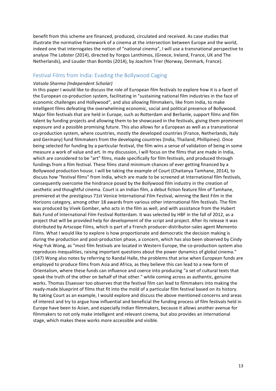benefit from this scheme are financed, produced, circulated and received. As case studies that illustrate the normative framework of a cinema at the intersection between Europe and the world, indeed one that interrogates the notion of "national cinema", I will use a transnational perspective to analyse The Lobster (2014), directed by Yorgos Lanthimos, (Greece, Ireland, France, UK and The Netherlands), and Louder than Bombs (2014), by Joachim Trier (Norway, Denmark, France).

### Festival Films from India: Evading the Bollywood Caging

#### *Vatsala Sharma (Independent Scholar)*

In this paper I would like to discuss the role of European film festivals to explore how it is a facet of the European co-production system, facilitating in "sustaining national film industries in the face of economic challenges and Hollywood", and also allowing filmmakers, like from India, to make intelligent films defeating the overwhelming economic, social and political presence of Bollywood. Major film festivals that are held in Europe, such as Rotterdam and Berlianle, support films and film talent by funding projects and allowing them to be showcased in the festivals, giving them prominent exposure and a possible promising future. This also allows for a European as well as a transnational co-production system, where countries, mostly the developed countries (France, Netherlands, Italy and Germany) fund filmmakers from the developing countries (India, Thailand, Phillipines). Once being selected for funding by a particular festival, the film wins a sense of validation of being in some measure a work of value and art. In my discussion, I will focus on the films that are made in India, which are considered to be "art" films, made specifically for film festivals, and produced through fundings from a film festival. These films stand minimum chances of ever getting financed by a Bollywood production house. I will be taking the example of Court (Chaitanya Tamhane, 2014), to discuss how "festival films" from India, which are made to be screened at International film festivals, consequently overcome the hindrance posed by the Bollywood film industry in the creation of aesthetic and thoughtful cinema. Court is an Indian film, a debut fiction feature film of Tamhane, premiered at the prestigious 71st Venice International Film Festival, winning the Best Film in the Horizons category, among other 18 awards from various other international film festivals. The film was produced by Vivek Gomber, who acts in the film as well, and with assistance from the Hubert Bals Fund of International Film Festival Rotterdam. It was selected by HBF in the fall of 2012, as a project that will be provided help for development of the script and project. After its release it was distributed by Artscope Films, which is part of a French producer-distributor-sales agent Memento Films. What I would like to explore is how proportionate and democratic the decision making is during the production and post-production phase, a concern, which has also been observed by Cindy Hing-Yuk Wong, as "most film festivals are located in Western Europe, the co-production system also reproduces inequalities, raising important questions about the power dynamics of global cinema." (147) Wong also notes by referring to Randal Halle, the problems that arise when European funds are employed to produce films from Asia and Africa, as they believe this can lead to a new form of Orientalism, where these funds can influence and coerce into producing "a set of cultural texts that speak the truth of the other on behalf of that other." while coming across as authentic, genuine works. Thomas Elsaesser too observes that the festival film can lead to filmmakers into making the ready-made blueprint of films that fit into the mold of a particular film festival based on its history. By taking Court as an example, I would explore and discuss the above mentioned concerns and areas of interest and try to argue how influential and beneficial the funding process of film festivals held in Europe have been to Asian, and especially Indian filmmakers, because it allows another avenue for filmmakers to not only make intelligent and relevant cinema, but also provides an international stage, which makes these works more accessible and visible.